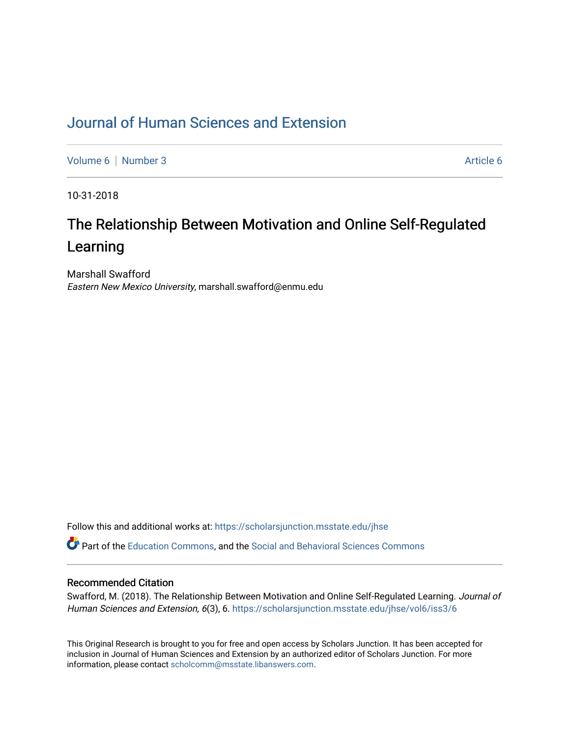# [Journal of Human Sciences and Extension](https://scholarsjunction.msstate.edu/jhse)

[Volume 6](https://scholarsjunction.msstate.edu/jhse/vol6) | [Number 3](https://scholarsjunction.msstate.edu/jhse/vol6/iss3) Article 6

10-31-2018

# The Relationship Between Motivation and Online Self-Regulated Learning

Marshall Swafford Eastern New Mexico University, marshall.swafford@enmu.edu

Follow this and additional works at: [https://scholarsjunction.msstate.edu/jhse](https://scholarsjunction.msstate.edu/jhse?utm_source=scholarsjunction.msstate.edu%2Fjhse%2Fvol6%2Fiss3%2F6&utm_medium=PDF&utm_campaign=PDFCoverPages)

Part of the [Education Commons](http://network.bepress.com/hgg/discipline/784?utm_source=scholarsjunction.msstate.edu%2Fjhse%2Fvol6%2Fiss3%2F6&utm_medium=PDF&utm_campaign=PDFCoverPages), and the [Social and Behavioral Sciences Commons](http://network.bepress.com/hgg/discipline/316?utm_source=scholarsjunction.msstate.edu%2Fjhse%2Fvol6%2Fiss3%2F6&utm_medium=PDF&utm_campaign=PDFCoverPages) 

#### Recommended Citation

Swafford, M. (2018). The Relationship Between Motivation and Online Self-Regulated Learning. Journal of Human Sciences and Extension, 6(3), 6. [https://scholarsjunction.msstate.edu/jhse/vol6/iss3/6](https://scholarsjunction.msstate.edu/jhse/vol6/iss3/6?utm_source=scholarsjunction.msstate.edu%2Fjhse%2Fvol6%2Fiss3%2F6&utm_medium=PDF&utm_campaign=PDFCoverPages)

This Original Research is brought to you for free and open access by Scholars Junction. It has been accepted for inclusion in Journal of Human Sciences and Extension by an authorized editor of Scholars Junction. For more information, please contact [scholcomm@msstate.libanswers.com](mailto:scholcomm@msstate.libanswers.com).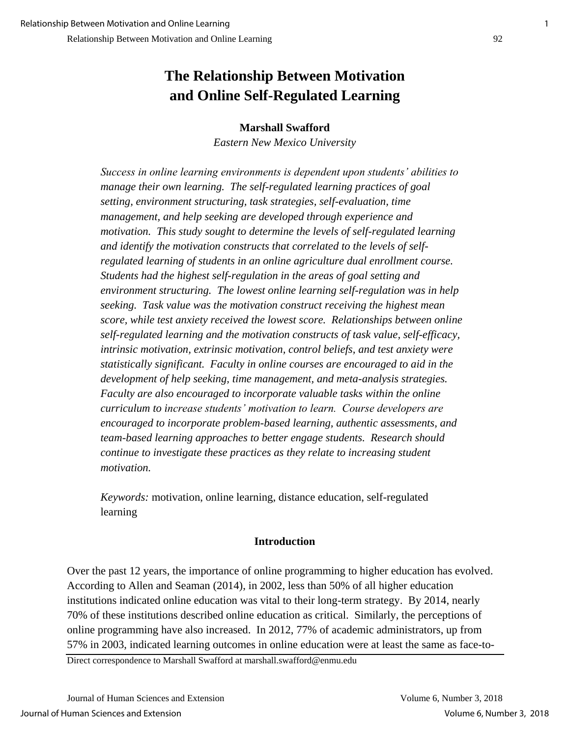# **The Relationship Between Motivation and Online Self-Regulated Learning**

## **Marshall Swafford**

*Eastern New Mexico University*

*Success in online learning environments is dependent upon students' abilities to manage their own learning. The self-regulated learning practices of goal setting, environment structuring, task strategies, self-evaluation, time management, and help seeking are developed through experience and motivation. This study sought to determine the levels of self-regulated learning and identify the motivation constructs that correlated to the levels of selfregulated learning of students in an online agriculture dual enrollment course. Students had the highest self-regulation in the areas of goal setting and environment structuring. The lowest online learning self-regulation was in help seeking. Task value was the motivation construct receiving the highest mean score, while test anxiety received the lowest score. Relationships between online self-regulated learning and the motivation constructs of task value, self-efficacy, intrinsic motivation, extrinsic motivation, control beliefs, and test anxiety were statistically significant. Faculty in online courses are encouraged to aid in the development of help seeking, time management, and meta-analysis strategies. Faculty are also encouraged to incorporate valuable tasks within the online curriculum to increase students' motivation to learn. Course developers are encouraged to incorporate problem-based learning, authentic assessments, and team-based learning approaches to better engage students. Research should continue to investigate these practices as they relate to increasing student motivation.* 

*Keywords:* motivation, online learning, distance education, self-regulated learning

## **Introduction**

Over the past 12 years, the importance of online programming to higher education has evolved. According to Allen and Seaman (2014), in 2002, less than 50% of all higher education institutions indicated online education was vital to their long-term strategy. By 2014, nearly 70% of these institutions described online education as critical. Similarly, the perceptions of online programming have also increased. In 2012, 77% of academic administrators, up from 57% in 2003, indicated learning outcomes in online education were at least the same as face-to-

Direct correspondence to Marshall Swafford at marshall.swafford@enmu.edu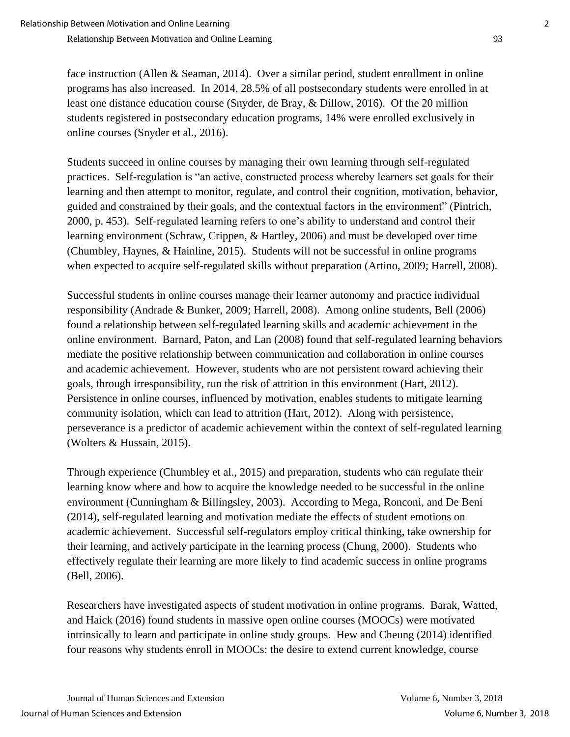face instruction (Allen & Seaman, 2014). Over a similar period, student enrollment in online programs has also increased. In 2014, 28.5% of all postsecondary students were enrolled in at least one distance education course (Snyder, de Bray, & Dillow, 2016). Of the 20 million students registered in postsecondary education programs, 14% were enrolled exclusively in online courses (Snyder et al., 2016).

Students succeed in online courses by managing their own learning through self-regulated practices. Self-regulation is "an active, constructed process whereby learners set goals for their learning and then attempt to monitor, regulate, and control their cognition, motivation, behavior, guided and constrained by their goals, and the contextual factors in the environment" (Pintrich, 2000, p. 453). Self-regulated learning refers to one's ability to understand and control their learning environment (Schraw, Crippen, & Hartley, 2006) and must be developed over time (Chumbley, Haynes, & Hainline, 2015). Students will not be successful in online programs when expected to acquire self-regulated skills without preparation (Artino, 2009; Harrell, 2008).

Successful students in online courses manage their learner autonomy and practice individual responsibility (Andrade & Bunker, 2009; Harrell, 2008). Among online students, Bell (2006) found a relationship between self-regulated learning skills and academic achievement in the online environment. Barnard, Paton, and Lan (2008) found that self-regulated learning behaviors mediate the positive relationship between communication and collaboration in online courses and academic achievement. However, students who are not persistent toward achieving their goals, through irresponsibility, run the risk of attrition in this environment (Hart, 2012). Persistence in online courses, influenced by motivation, enables students to mitigate learning community isolation, which can lead to attrition (Hart, 2012). Along with persistence, perseverance is a predictor of academic achievement within the context of self-regulated learning (Wolters & Hussain, 2015).

Through experience (Chumbley et al., 2015) and preparation, students who can regulate their learning know where and how to acquire the knowledge needed to be successful in the online environment (Cunningham & Billingsley, 2003). According to Mega, Ronconi, and De Beni (2014), self-regulated learning and motivation mediate the effects of student emotions on academic achievement. Successful self-regulators employ critical thinking, take ownership for their learning, and actively participate in the learning process (Chung, 2000). Students who effectively regulate their learning are more likely to find academic success in online programs (Bell, 2006).

Researchers have investigated aspects of student motivation in online programs. Barak, Watted, and Haick (2016) found students in massive open online courses (MOOCs) were motivated intrinsically to learn and participate in online study groups. Hew and Cheung (2014) identified four reasons why students enroll in MOOCs: the desire to extend current knowledge, course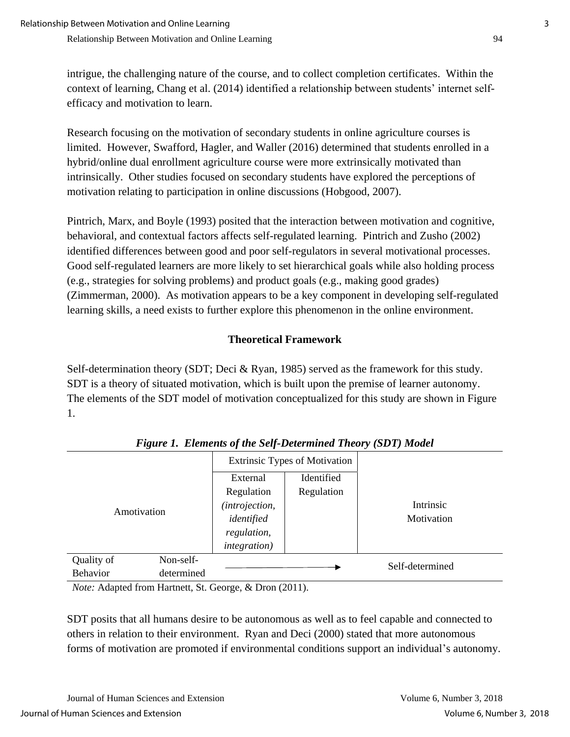intrigue, the challenging nature of the course, and to collect completion certificates. Within the context of learning, Chang et al. (2014) identified a relationship between students' internet selfefficacy and motivation to learn.

Research focusing on the motivation of secondary students in online agriculture courses is limited. However, Swafford, Hagler, and Waller (2016) determined that students enrolled in a hybrid/online dual enrollment agriculture course were more extrinsically motivated than intrinsically. Other studies focused on secondary students have explored the perceptions of motivation relating to participation in online discussions (Hobgood, 2007).

Pintrich, Marx, and Boyle (1993) posited that the interaction between motivation and cognitive, behavioral, and contextual factors affects self-regulated learning. Pintrich and Zusho (2002) identified differences between good and poor self-regulators in several motivational processes. Good self-regulated learners are more likely to set hierarchical goals while also holding process (e.g., strategies for solving problems) and product goals (e.g., making good grades) (Zimmerman, 2000). As motivation appears to be a key component in developing self-regulated learning skills, a need exists to further explore this phenomenon in the online environment.

## **Theoretical Framework**

Self-determination theory (SDT; Deci & Ryan, 1985) served as the framework for this study. SDT is a theory of situated motivation, which is built upon the premise of learner autonomy. The elements of the SDT model of motivation conceptualized for this study are shown in Figure 1.

|                 |            | <b>Extrinsic Types of Motivation</b> |            |                 |  |
|-----------------|------------|--------------------------------------|------------|-----------------|--|
| Amotivation     |            | External                             | Identified |                 |  |
|                 |            | Regulation                           | Regulation |                 |  |
|                 |            | (introjection,                       |            | Intrinsic       |  |
|                 |            | identified                           |            | Motivation      |  |
|                 |            | regulation,                          |            |                 |  |
|                 |            | <i>integration</i> )                 |            |                 |  |
| Quality of      | Non-self-  |                                      |            | Self-determined |  |
| <b>Behavior</b> | determined |                                      |            |                 |  |

*Figure 1. Elements of the Self-Determined Theory (SDT) Model*

*Note:* Adapted from Hartnett, St. George, & Dron (2011).

SDT posits that all humans desire to be autonomous as well as to feel capable and connected to others in relation to their environment. Ryan and Deci (2000) stated that more autonomous forms of motivation are promoted if environmental conditions support an individual's autonomy.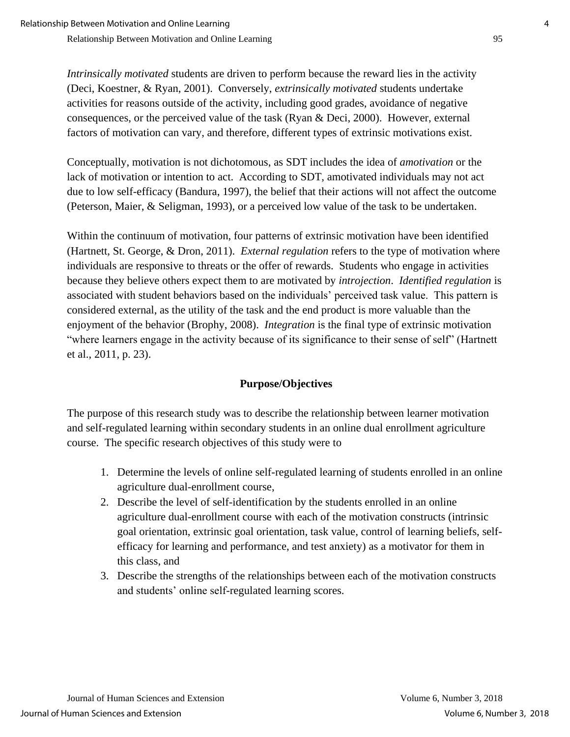*Intrinsically motivated* students are driven to perform because the reward lies in the activity (Deci, Koestner, & Ryan, 2001). Conversely, *extrinsically motivated* students undertake activities for reasons outside of the activity, including good grades, avoidance of negative consequences, or the perceived value of the task (Ryan & Deci, 2000). However, external factors of motivation can vary, and therefore, different types of extrinsic motivations exist.

Conceptually, motivation is not dichotomous, as SDT includes the idea of *amotivation* or the lack of motivation or intention to act. According to SDT, amotivated individuals may not act due to low self-efficacy (Bandura, 1997), the belief that their actions will not affect the outcome (Peterson, Maier, & Seligman, 1993), or a perceived low value of the task to be undertaken.

Within the continuum of motivation, four patterns of extrinsic motivation have been identified (Hartnett, St. George, & Dron, 2011). *External regulation* refers to the type of motivation where individuals are responsive to threats or the offer of rewards. Students who engage in activities because they believe others expect them to are motivated by *introjection*. *Identified regulation* is associated with student behaviors based on the individuals' perceived task value. This pattern is considered external, as the utility of the task and the end product is more valuable than the enjoyment of the behavior (Brophy, 2008). *Integration* is the final type of extrinsic motivation "where learners engage in the activity because of its significance to their sense of self" (Hartnett et al., 2011, p. 23).

## **Purpose/Objectives**

The purpose of this research study was to describe the relationship between learner motivation and self-regulated learning within secondary students in an online dual enrollment agriculture course. The specific research objectives of this study were to

- 1. Determine the levels of online self-regulated learning of students enrolled in an online agriculture dual-enrollment course,
- 2. Describe the level of self-identification by the students enrolled in an online agriculture dual-enrollment course with each of the motivation constructs (intrinsic goal orientation, extrinsic goal orientation, task value, control of learning beliefs, selfefficacy for learning and performance, and test anxiety) as a motivator for them in this class, and
- 3. Describe the strengths of the relationships between each of the motivation constructs and students' online self-regulated learning scores.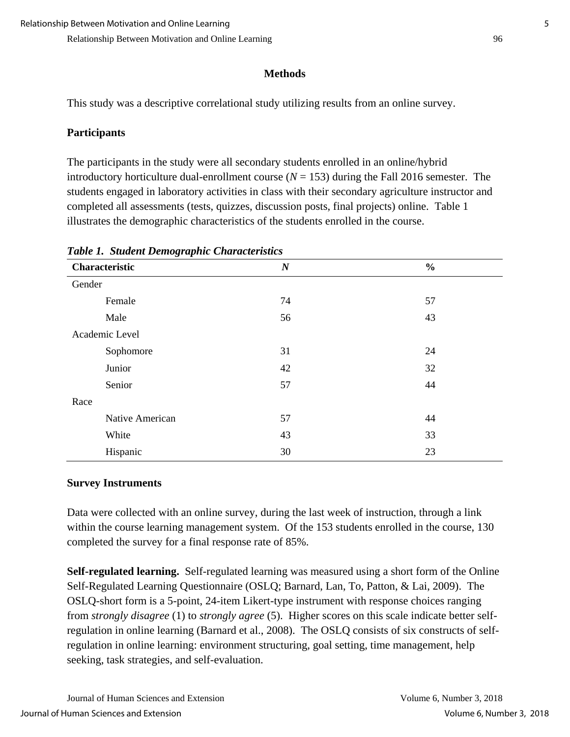### **Methods**

This study was a descriptive correlational study utilizing results from an online survey.

### **Participants**

The participants in the study were all secondary students enrolled in an online/hybrid introductory horticulture dual-enrollment course  $(N = 153)$  during the Fall 2016 semester. The students engaged in laboratory activities in class with their secondary agriculture instructor and completed all assessments (tests, quizzes, discussion posts, final projects) online. Table 1 illustrates the demographic characteristics of the students enrolled in the course.

| Characteristic  | $\boldsymbol{N}$ | $\frac{0}{0}$ |
|-----------------|------------------|---------------|
| Gender          |                  |               |
| Female          | 74               | 57            |
| Male            | 56               | 43            |
| Academic Level  |                  |               |
| Sophomore       | 31               | 24            |
| Junior          | 42               | 32            |
| Senior          | 57               | 44            |
| Race            |                  |               |
| Native American | 57               | 44            |
| White           | 43               | 33            |
| Hispanic        | 30               | 23            |

*Table 1. Student Demographic Characteristics*

### **Survey Instruments**

Data were collected with an online survey, during the last week of instruction, through a link within the course learning management system. Of the 153 students enrolled in the course, 130 completed the survey for a final response rate of 85%.

**Self-regulated learning.** Self-regulated learning was measured using a short form of the Online Self-Regulated Learning Questionnaire (OSLQ; Barnard, Lan, To, Patton, & Lai, 2009). The OSLQ-short form is a 5-point, 24-item Likert-type instrument with response choices ranging from *strongly disagree* (1) to *strongly agree* (5). Higher scores on this scale indicate better selfregulation in online learning (Barnard et al., 2008). The OSLQ consists of six constructs of selfregulation in online learning: environment structuring, goal setting, time management, help seeking, task strategies, and self-evaluation.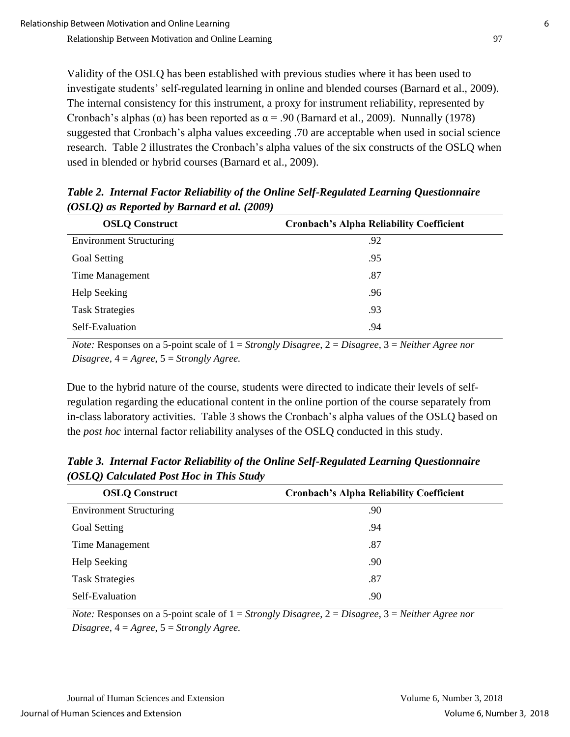Validity of the OSLQ has been established with previous studies where it has been used to investigate students' self-regulated learning in online and blended courses (Barnard et al., 2009). The internal consistency for this instrument, a proxy for instrument reliability, represented by Cronbach's alphas ( $\alpha$ ) has been reported as  $\alpha$  = .90 (Barnard et al., 2009). Nunnally (1978) suggested that Cronbach's alpha values exceeding .70 are acceptable when used in social science research. Table 2 illustrates the Cronbach's alpha values of the six constructs of the OSLQ when used in blended or hybrid courses (Barnard et al., 2009).

| <b>OSLQ Construct</b>          | <b>Cronbach's Alpha Reliability Coefficient</b> |
|--------------------------------|-------------------------------------------------|
| <b>Environment Structuring</b> | .92                                             |
| <b>Goal Setting</b>            | .95                                             |
| Time Management                | .87                                             |
| Help Seeking                   | .96                                             |
| <b>Task Strategies</b>         | .93                                             |
| Self-Evaluation                | .94                                             |

*Table 2. Internal Factor Reliability of the Online Self-Regulated Learning Questionnaire (OSLQ) as Reported by Barnard et al. (2009)*

*Note:* Responses on a 5-point scale of 1 = *Strongly Disagree*, 2 = *Disagree*, 3 = *Neither Agree nor Disagree*, 4 = *Agree*, 5 = *Strongly Agree.*

Due to the hybrid nature of the course, students were directed to indicate their levels of selfregulation regarding the educational content in the online portion of the course separately from in-class laboratory activities. Table 3 shows the Cronbach's alpha values of the OSLQ based on the *post hoc* internal factor reliability analyses of the OSLQ conducted in this study.

*Table 3. Internal Factor Reliability of the Online Self-Regulated Learning Questionnaire (OSLQ) Calculated Post Hoc in This Study*

| <b>OSLQ Construct</b>          | <b>Cronbach's Alpha Reliability Coefficient</b> |
|--------------------------------|-------------------------------------------------|
| <b>Environment Structuring</b> | .90                                             |
| <b>Goal Setting</b>            | .94                                             |
| Time Management                | .87                                             |
| Help Seeking                   | .90                                             |
| <b>Task Strategies</b>         | .87                                             |
| Self-Evaluation                | .90                                             |

*Note:* Responses on a 5-point scale of 1 = *Strongly Disagree*, 2 = *Disagree*, 3 = *Neither Agree nor Disagree*, 4 = *Agree*, 5 = *Strongly Agree.*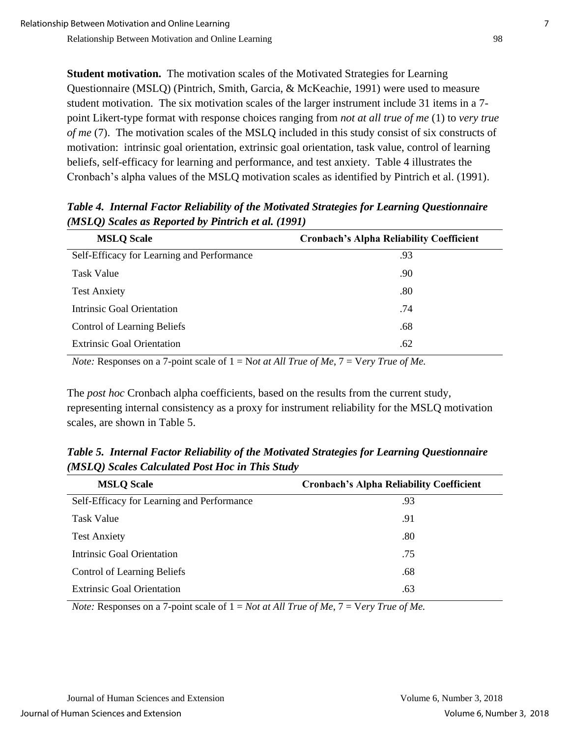**Student motivation.** The motivation scales of the Motivated Strategies for Learning Questionnaire (MSLQ) (Pintrich, Smith, Garcia, & McKeachie, 1991) were used to measure student motivation. The six motivation scales of the larger instrument include 31 items in a 7 point Likert-type format with response choices ranging from *not at all true of me* (1) to *very true of me* (7). The motivation scales of the MSLQ included in this study consist of six constructs of motivation: intrinsic goal orientation, extrinsic goal orientation, task value, control of learning beliefs, self-efficacy for learning and performance, and test anxiety. Table 4 illustrates the Cronbach's alpha values of the MSLQ motivation scales as identified by Pintrich et al. (1991).

| <b>MSLQ Scale</b>                          | <b>Cronbach's Alpha Reliability Coefficient</b> |
|--------------------------------------------|-------------------------------------------------|
| Self-Efficacy for Learning and Performance | .93                                             |
| <b>Task Value</b>                          | .90                                             |
| <b>Test Anxiety</b>                        | .80                                             |
| <b>Intrinsic Goal Orientation</b>          | .74                                             |
| <b>Control of Learning Beliefs</b>         | .68                                             |
| <b>Extrinsic Goal Orientation</b>          | .62                                             |

*Table 4. Internal Factor Reliability of the Motivated Strategies for Learning Questionnaire (MSLQ) Scales as Reported by Pintrich et al. (1991)*

*Note:* Responses on a 7-point scale of 1 = N*ot at All True of Me*, 7 = V*ery True of Me.*

The *post hoc* Cronbach alpha coefficients, based on the results from the current study, representing internal consistency as a proxy for instrument reliability for the MSLQ motivation scales, are shown in Table 5.

*Table 5. Internal Factor Reliability of the Motivated Strategies for Learning Questionnaire (MSLQ) Scales Calculated Post Hoc in This Study*

| <b>MSLQ Scale</b>                          | <b>Cronbach's Alpha Reliability Coefficient</b> |
|--------------------------------------------|-------------------------------------------------|
| Self-Efficacy for Learning and Performance | .93                                             |
| <b>Task Value</b>                          | .91                                             |
| <b>Test Anxiety</b>                        | .80                                             |
| <b>Intrinsic Goal Orientation</b>          | .75                                             |
| <b>Control of Learning Beliefs</b>         | .68                                             |
| <b>Extrinsic Goal Orientation</b>          | .63                                             |

*Note:* Responses on a 7-point scale of 1 = *Not at All True of Me*, 7 = V*ery True of Me.*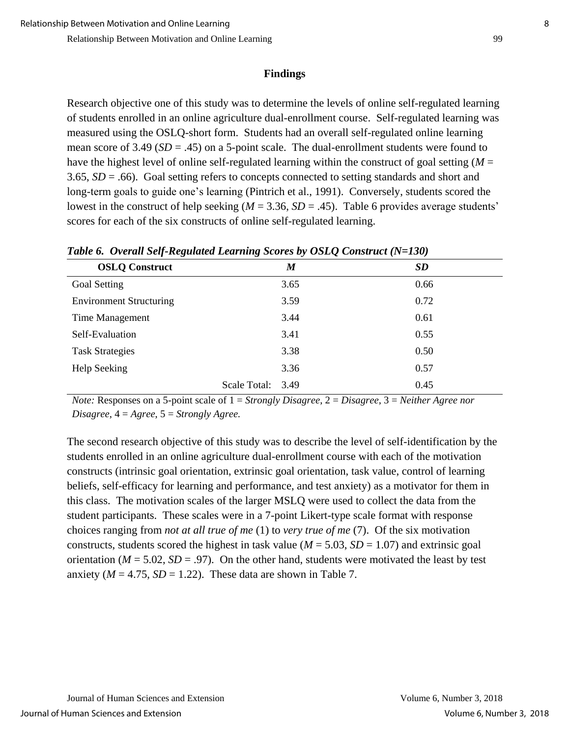#### **Findings**

Research objective one of this study was to determine the levels of online self-regulated learning of students enrolled in an online agriculture dual-enrollment course. Self-regulated learning was measured using the OSLQ-short form. Students had an overall self-regulated online learning mean score of 3.49 (*SD* = .45) on a 5-point scale. The dual-enrollment students were found to have the highest level of online self-regulated learning within the construct of goal setting (*M* = 3.65, *SD* = .66). Goal setting refers to concepts connected to setting standards and short and long-term goals to guide one's learning (Pintrich et al., 1991). Conversely, students scored the lowest in the construct of help seeking (*M* = 3.36, *SD* = .45). Table 6 provides average students' scores for each of the six constructs of online self-regulated learning.

| <b>OSLQ Construct</b>          |              | $\boldsymbol{M}$ | <b>SD</b> |
|--------------------------------|--------------|------------------|-----------|
| Goal Setting                   |              | 3.65             | 0.66      |
| <b>Environment Structuring</b> |              | 3.59             | 0.72      |
| Time Management                |              | 3.44             | 0.61      |
| Self-Evaluation                |              | 3.41             | 0.55      |
| <b>Task Strategies</b>         |              | 3.38             | 0.50      |
| Help Seeking                   |              | 3.36             | 0.57      |
|                                | Scale Total: | 3.49             | 0.45      |

*Table 6. Overall Self-Regulated Learning Scores by OSLQ Construct (N=130)*

*Note:* Responses on a 5-point scale of 1 = *Strongly Disagree*, 2 = *Disagree*, 3 = *Neither Agree nor Disagree*, 4 = *Agree*, 5 = *Strongly Agree.*

The second research objective of this study was to describe the level of self-identification by the students enrolled in an online agriculture dual-enrollment course with each of the motivation constructs (intrinsic goal orientation, extrinsic goal orientation, task value, control of learning beliefs, self-efficacy for learning and performance, and test anxiety) as a motivator for them in this class. The motivation scales of the larger MSLQ were used to collect the data from the student participants. These scales were in a 7-point Likert-type scale format with response choices ranging from *not at all true of me* (1) to *very true of me* (7). Of the six motivation constructs, students scored the highest in task value ( $M = 5.03$ ,  $SD = 1.07$ ) and extrinsic goal orientation ( $M = 5.02$ ,  $SD = .97$ ). On the other hand, students were motivated the least by test anxiety ( $M = 4.75$ ,  $SD = 1.22$ ). These data are shown in Table 7.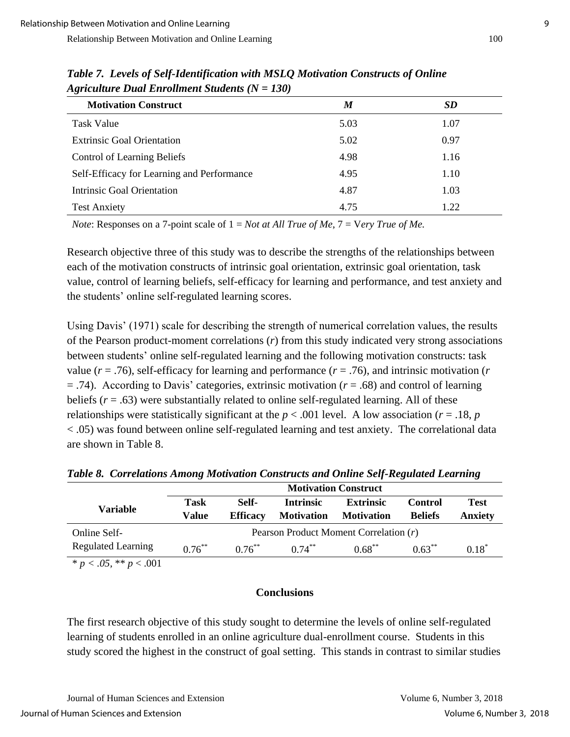| <b>Motivation Construct</b>                | M    | <b>SD</b> |
|--------------------------------------------|------|-----------|
| <b>Task Value</b>                          | 5.03 | 1.07      |
| <b>Extrinsic Goal Orientation</b>          | 5.02 | 0.97      |
| <b>Control of Learning Beliefs</b>         | 4.98 | 1.16      |
| Self-Efficacy for Learning and Performance | 4.95 | 1.10      |
| Intrinsic Goal Orientation                 | 4.87 | 1.03      |
| <b>Test Anxiety</b>                        | 4.75 | 1.22      |

*Table 7. Levels of Self-Identification with MSLQ Motivation Constructs of Online Agriculture Dual Enrollment Students (N = 130)*

*Note*: Responses on a 7-point scale of 1 = *Not at All True of Me*, 7 = V*ery True of Me.*

Research objective three of this study was to describe the strengths of the relationships between each of the motivation constructs of intrinsic goal orientation, extrinsic goal orientation, task value, control of learning beliefs, self-efficacy for learning and performance, and test anxiety and the students' online self-regulated learning scores.

Using Davis' (1971) scale for describing the strength of numerical correlation values, the results of the Pearson product-moment correlations (*r*) from this study indicated very strong associations between students' online self-regulated learning and the following motivation constructs: task value ( $r = .76$ ), self-efficacy for learning and performance ( $r = .76$ ), and intrinsic motivation ( $r = .76$ ) = .74). According to Davis' categories, extrinsic motivation (*r* = .68) and control of learning beliefs  $(r = .63)$  were substantially related to online self-regulated learning. All of these relationships were statistically significant at the  $p < .001$  level. A low association ( $r = .18$ ,  $p$ ) < .05) was found between online self-regulated learning and test anxiety. The correlational data are shown in Table 8.

|                           | <b>Motivation Construct</b>            |                          |                                       |                                       |                                  |                               |
|---------------------------|----------------------------------------|--------------------------|---------------------------------------|---------------------------------------|----------------------------------|-------------------------------|
| Variable                  | Task<br>Value                          | Self-<br><b>Efficacy</b> | <b>Intrinsic</b><br><b>Motivation</b> | <b>Extrinsic</b><br><b>Motivation</b> | <b>Control</b><br><b>Beliefs</b> | <b>Test</b><br><b>Anxiety</b> |
| Online Self-              | Pearson Product Moment Correlation (r) |                          |                                       |                                       |                                  |                               |
| <b>Regulated Learning</b> | $0.76***$                              | $0.76^{**}$              | $0.74***$                             | $0.68***$                             | $0.63***$                        | $0.18*$                       |

*Table 8. Correlations Among Motivation Constructs and Online Self-Regulated Learning*

 $\overline{\ast p}$  < .05,  $\overline{\ast p}$  < .001

### **Conclusions**

The first research objective of this study sought to determine the levels of online self-regulated learning of students enrolled in an online agriculture dual-enrollment course. Students in this study scored the highest in the construct of goal setting. This stands in contrast to similar studies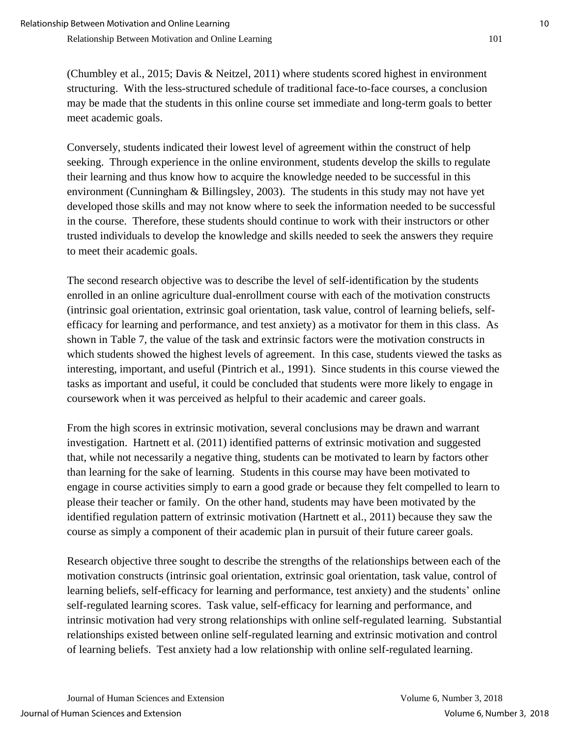(Chumbley et al., 2015; Davis & Neitzel, 2011) where students scored highest in environment structuring. With the less-structured schedule of traditional face-to-face courses, a conclusion may be made that the students in this online course set immediate and long-term goals to better meet academic goals.

Conversely, students indicated their lowest level of agreement within the construct of help seeking. Through experience in the online environment, students develop the skills to regulate their learning and thus know how to acquire the knowledge needed to be successful in this environment (Cunningham & Billingsley, 2003). The students in this study may not have yet developed those skills and may not know where to seek the information needed to be successful in the course. Therefore, these students should continue to work with their instructors or other trusted individuals to develop the knowledge and skills needed to seek the answers they require to meet their academic goals.

The second research objective was to describe the level of self-identification by the students enrolled in an online agriculture dual-enrollment course with each of the motivation constructs (intrinsic goal orientation, extrinsic goal orientation, task value, control of learning beliefs, selfefficacy for learning and performance, and test anxiety) as a motivator for them in this class. As shown in Table 7, the value of the task and extrinsic factors were the motivation constructs in which students showed the highest levels of agreement. In this case, students viewed the tasks as interesting, important, and useful (Pintrich et al., 1991). Since students in this course viewed the tasks as important and useful, it could be concluded that students were more likely to engage in coursework when it was perceived as helpful to their academic and career goals.

From the high scores in extrinsic motivation, several conclusions may be drawn and warrant investigation. Hartnett et al. (2011) identified patterns of extrinsic motivation and suggested that, while not necessarily a negative thing, students can be motivated to learn by factors other than learning for the sake of learning. Students in this course may have been motivated to engage in course activities simply to earn a good grade or because they felt compelled to learn to please their teacher or family. On the other hand, students may have been motivated by the identified regulation pattern of extrinsic motivation (Hartnett et al., 2011) because they saw the course as simply a component of their academic plan in pursuit of their future career goals.

Research objective three sought to describe the strengths of the relationships between each of the motivation constructs (intrinsic goal orientation, extrinsic goal orientation, task value, control of learning beliefs, self-efficacy for learning and performance, test anxiety) and the students' online self-regulated learning scores. Task value, self-efficacy for learning and performance, and intrinsic motivation had very strong relationships with online self-regulated learning. Substantial relationships existed between online self-regulated learning and extrinsic motivation and control of learning beliefs. Test anxiety had a low relationship with online self-regulated learning.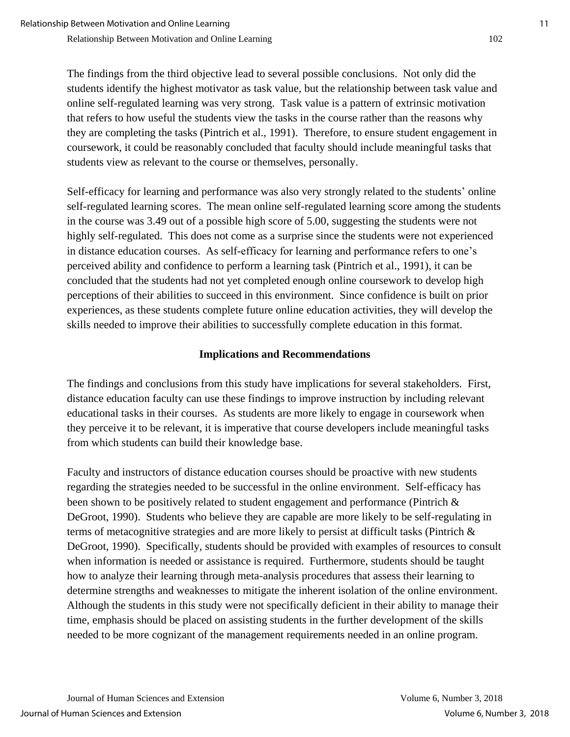The findings from the third objective lead to several possible conclusions. Not only did the students identify the highest motivator as task value, but the relationship between task value and online self-regulated learning was very strong. Task value is a pattern of extrinsic motivation that refers to how useful the students view the tasks in the course rather than the reasons why they are completing the tasks (Pintrich et al., 1991). Therefore, to ensure student engagement in coursework, it could be reasonably concluded that faculty should include meaningful tasks that students view as relevant to the course or themselves, personally.

Self-efficacy for learning and performance was also very strongly related to the students' online self-regulated learning scores. The mean online self-regulated learning score among the students in the course was 3.49 out of a possible high score of 5.00, suggesting the students were not highly self-regulated. This does not come as a surprise since the students were not experienced in distance education courses. As self-efficacy for learning and performance refers to one's perceived ability and confidence to perform a learning task (Pintrich et al., 1991), it can be concluded that the students had not yet completed enough online coursework to develop high perceptions of their abilities to succeed in this environment. Since confidence is built on prior experiences, as these students complete future online education activities, they will develop the skills needed to improve their abilities to successfully complete education in this format.

## **Implications and Recommendations**

The findings and conclusions from this study have implications for several stakeholders. First, distance education faculty can use these findings to improve instruction by including relevant educational tasks in their courses. As students are more likely to engage in coursework when they perceive it to be relevant, it is imperative that course developers include meaningful tasks from which students can build their knowledge base.

Faculty and instructors of distance education courses should be proactive with new students regarding the strategies needed to be successful in the online environment. Self-efficacy has been shown to be positively related to student engagement and performance (Pintrich & DeGroot, 1990). Students who believe they are capable are more likely to be self-regulating in terms of metacognitive strategies and are more likely to persist at difficult tasks (Pintrich & DeGroot, 1990). Specifically, students should be provided with examples of resources to consult when information is needed or assistance is required. Furthermore, students should be taught how to analyze their learning through meta-analysis procedures that assess their learning to determine strengths and weaknesses to mitigate the inherent isolation of the online environment. Although the students in this study were not specifically deficient in their ability to manage their time, emphasis should be placed on assisting students in the further development of the skills needed to be more cognizant of the management requirements needed in an online program.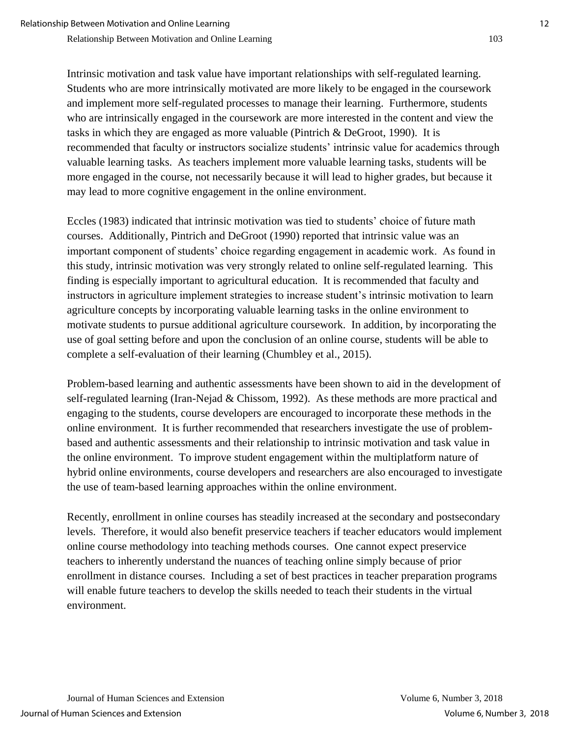Intrinsic motivation and task value have important relationships with self-regulated learning. Students who are more intrinsically motivated are more likely to be engaged in the coursework and implement more self-regulated processes to manage their learning. Furthermore, students who are intrinsically engaged in the coursework are more interested in the content and view the tasks in which they are engaged as more valuable (Pintrich & DeGroot, 1990). It is recommended that faculty or instructors socialize students' intrinsic value for academics through valuable learning tasks. As teachers implement more valuable learning tasks, students will be more engaged in the course, not necessarily because it will lead to higher grades, but because it may lead to more cognitive engagement in the online environment.

Eccles (1983) indicated that intrinsic motivation was tied to students' choice of future math courses. Additionally, Pintrich and DeGroot (1990) reported that intrinsic value was an important component of students' choice regarding engagement in academic work. As found in this study, intrinsic motivation was very strongly related to online self-regulated learning. This finding is especially important to agricultural education. It is recommended that faculty and instructors in agriculture implement strategies to increase student's intrinsic motivation to learn agriculture concepts by incorporating valuable learning tasks in the online environment to motivate students to pursue additional agriculture coursework. In addition, by incorporating the use of goal setting before and upon the conclusion of an online course, students will be able to complete a self-evaluation of their learning (Chumbley et al., 2015).

Problem-based learning and authentic assessments have been shown to aid in the development of self-regulated learning (Iran-Nejad & Chissom, 1992). As these methods are more practical and engaging to the students, course developers are encouraged to incorporate these methods in the online environment. It is further recommended that researchers investigate the use of problembased and authentic assessments and their relationship to intrinsic motivation and task value in the online environment. To improve student engagement within the multiplatform nature of hybrid online environments, course developers and researchers are also encouraged to investigate the use of team-based learning approaches within the online environment.

Recently, enrollment in online courses has steadily increased at the secondary and postsecondary levels. Therefore, it would also benefit preservice teachers if teacher educators would implement online course methodology into teaching methods courses. One cannot expect preservice teachers to inherently understand the nuances of teaching online simply because of prior enrollment in distance courses. Including a set of best practices in teacher preparation programs will enable future teachers to develop the skills needed to teach their students in the virtual environment.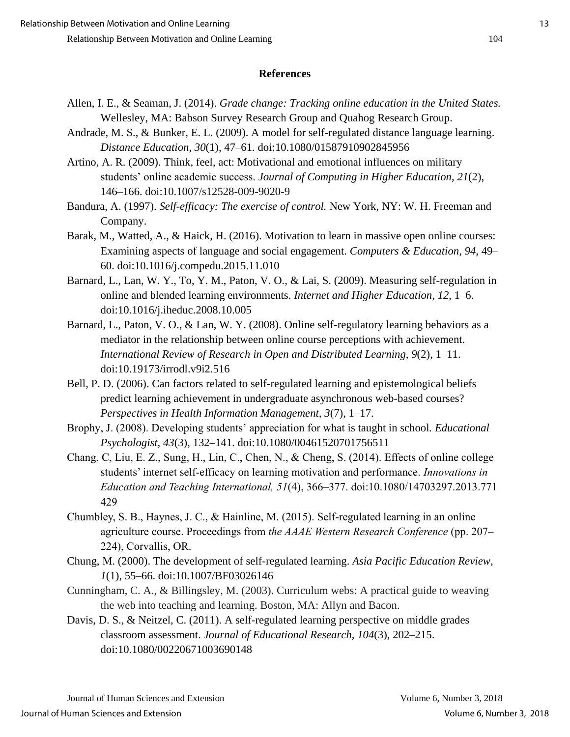#### **References**

- Allen, I. E., & Seaman, J. (2014). *Grade change: Tracking online education in the United States.*  Wellesley, MA: Babson Survey Research Group and Quahog Research Group.
- Andrade, M. S., & Bunker, E. L. (2009). A model for self-regulated distance language learning. *Distance Education, 30*(1), 47–61. doi:10.1080/01587910902845956
- Artino, A. R. (2009). Think, feel, act: Motivational and emotional influences on military students' online academic success. *Journal of Computing in Higher Education*, *21*(2), 146–166. doi:10.1007/s12528-009-9020-9
- Bandura, A. (1997). *Self-efficacy: The exercise of control.* New York, NY: W. H. Freeman and Company.
- Barak, M., Watted, A., & Haick, H. (2016). Motivation to learn in massive open online courses: Examining aspects of language and social engagement. *Computers & Education, 94*, 49– 60. doi:10.1016/j.compedu.2015.11.010
- Barnard, L., Lan, W. Y., To, Y. M., Paton, V. O., & Lai, S. (2009). Measuring self-regulation in online and blended learning environments. *Internet and Higher Education, 12*, 1–6. doi:10.1016/j.iheduc.2008.10.005
- Barnard, L., Paton, V. O., & Lan, W. Y. (2008). Online self-regulatory learning behaviors as a mediator in the relationship between online course perceptions with achievement. *International Review of Research in Open and Distributed Learning*, *9*(2), 1–11. doi:10.19173/irrodl.v9i2.516
- Bell, P. D. (2006). Can factors related to self-regulated learning and epistemological beliefs predict learning achievement in undergraduate asynchronous web-based courses? *Perspectives in Health Information Management, 3*(7), 1–17.
- Brophy, J. (2008). Developing students' appreciation for what is taught in school*. Educational Psychologist, 43*(3), 132–141. doi:10.1080/00461520701756511
- Chang, C, Liu, E. Z., Sung, H., Lin, C., Chen, N., & Cheng, S. (2014). Effects of online college students' internet self-efficacy on learning motivation and performance. *Innovations in Education and Teaching International, 51*(4), 366–377. doi:10.1080/14703297.2013.771 429
- Chumbley, S. B., Haynes, J. C., & Hainline, M. (2015). Self-regulated learning in an online agriculture course. Proceedings from *the AAAE Western Research Conference* (pp. 207– 224), Corvallis, OR.
- Chung, M. (2000). The development of self-regulated learning. *Asia Pacific Education Review*, *1*(1), 55–66. doi:10.1007/BF03026146
- Cunningham, C. A., & Billingsley, M. (2003). Curriculum webs: A practical guide to weaving the web into teaching and learning. Boston, MA: Allyn and Bacon.
- Davis, D. S., & Neitzel, C. (2011). A self-regulated learning perspective on middle grades classroom assessment. *Journal of Educational Research, 104*(3), 202–215. doi:10.1080/00220671003690148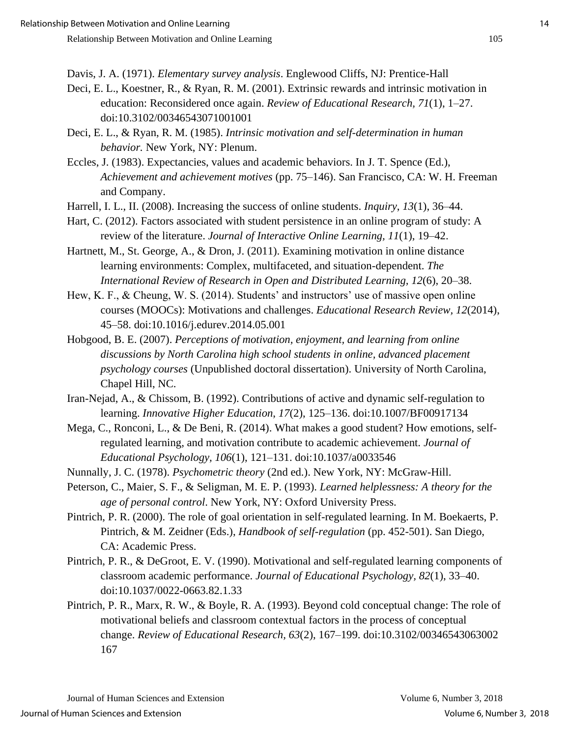Davis, J. A. (1971). *Elementary survey analysis*. Englewood Cliffs, NJ: Prentice-Hall

- Deci, E. L., Koestner, R., & Ryan, R. M. (2001). Extrinsic rewards and intrinsic motivation in education: Reconsidered once again. *Review of Educational Research, 71*(1), 1–27. doi:10.3102/00346543071001001
- Deci, E. L., & Ryan, R. M. (1985). *Intrinsic motivation and self-determination in human behavior.* New York, NY: Plenum.
- Eccles, J. (1983). Expectancies, values and academic behaviors. In J. T. Spence (Ed.), *Achievement and achievement motives* (pp. 75–146). San Francisco, CA: W. H. Freeman and Company.
- Harrell, I. L., II. (2008). Increasing the success of online students. *Inquiry*, *13*(1), 36–44.
- Hart, C. (2012). Factors associated with student persistence in an online program of study: A review of the literature. *Journal of Interactive Online Learning, 11*(1), 19–42.
- Hartnett, M., St. George, A., & Dron, J. (2011). Examining motivation in online distance learning environments: Complex, multifaceted, and situation-dependent. *The International Review of Research in Open and Distributed Learning, 12*(6), 20–38.
- Hew, K. F., & Cheung, W. S. (2014). Students' and instructors' use of massive open online courses (MOOCs): Motivations and challenges. *Educational Research Review, 12*(2014), 45–58. doi:10.1016/j.edurev.2014.05.001
- Hobgood, B. E. (2007). *Perceptions of motivation, enjoyment, and learning from online discussions by North Carolina high school students in online, advanced placement psychology courses* (Unpublished doctoral dissertation). University of North Carolina, Chapel Hill, NC.
- Iran-Nejad, A., & Chissom, B. (1992). Contributions of active and dynamic self-regulation to learning. *Innovative Higher Education*, *17*(2), 125–136. doi:10.1007/BF00917134
- Mega, C., Ronconi, L., & De Beni, R. (2014). What makes a good student? How emotions, selfregulated learning, and motivation contribute to academic achievement. *Journal of Educational Psychology, 106*(1), 121–131. doi:10.1037/a0033546
- Nunnally, J. C. (1978). *Psychometric theory* (2nd ed.). New York, NY: McGraw-Hill.
- Peterson, C., Maier, S. F., & Seligman, M. E. P. (1993). *Learned helplessness: A theory for the age of personal control*. New York, NY: Oxford University Press.
- Pintrich, P. R. (2000). The role of goal orientation in self-regulated learning. In M. Boekaerts, P. Pintrich, & M. Zeidner (Eds.), *Handbook of self-regulation* (pp. 452-501). San Diego, CA: Academic Press.
- Pintrich, P. R., & DeGroot, E. V. (1990). Motivational and self-regulated learning components of classroom academic performance. *Journal of Educational Psychology, 82*(1), 33–40. doi:10.1037/0022-0663.82.1.33
- Pintrich, P. R., Marx, R. W., & Boyle, R. A. (1993). Beyond cold conceptual change: The role of motivational beliefs and classroom contextual factors in the process of conceptual change. *Review of Educational Research, 63*(2), 167–199. doi:10.3102/00346543063002 167